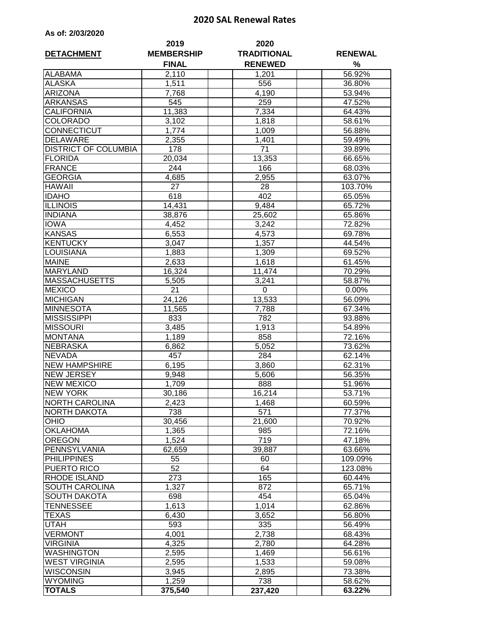## **2020 SAL Renewal Rates**

| As of: 2/03/2020 |  |  |  |  |  |
|------------------|--|--|--|--|--|
|------------------|--|--|--|--|--|

| <b>DETACHMENT</b>           | 2019<br><b>MEMBERSHIP</b> | 2020<br><b>TRADITIONAL</b> | <b>RENEWAL</b> |  |
|-----------------------------|---------------------------|----------------------------|----------------|--|
|                             | <b>FINAL</b>              | <b>RENEWED</b>             | %              |  |
| <b>ALABAMA</b>              | 2,110                     | 1,201                      | 56.92%         |  |
| <b>ALASKA</b>               | 1,511                     | 556                        | 36.80%         |  |
| <b>ARIZONA</b>              | 7,768                     | 4,190                      | 53.94%         |  |
| <b>ARKANSAS</b>             | 545                       | 259                        | 47.52%         |  |
| <b>CALIFORNIA</b>           | 11,383                    | 7,334                      | 64.43%         |  |
| <b>COLORADO</b>             | 3,102                     | 1,818                      | 58.61%         |  |
| CONNECTICUT                 | 1,774                     | 1,009                      | 56.88%         |  |
| <b>DELAWARE</b>             | 2,355                     | 1,401                      | 59.49%         |  |
| <b>DISTRICT OF COLUMBIA</b> | 178                       | 71                         | 39.89%         |  |
| <b>FLORIDA</b>              | 20,034                    | 13,353                     | 66.65%         |  |
| <b>FRANCE</b>               | 244                       | 166                        | 68.03%         |  |
| <b>GEORGIA</b>              | 4,685                     | 2,955                      | 63.07%         |  |
| <b>HAWAII</b>               | 27                        | 28                         | 103.70%        |  |
| <b>IDAHO</b>                | 618                       | 402                        | 65.05%         |  |
| <b>ILLINOIS</b>             | 14,431                    | 9,484                      | 65.72%         |  |
| <b>INDIANA</b>              | 38,876                    | 25,602                     | 65.86%         |  |
| <b>IOWA</b>                 | 4,452                     | 3,242                      | 72.82%         |  |
| <b>KANSAS</b>               | 6,553                     | 4,573                      | 69.78%         |  |
| <b>KENTUCKY</b>             |                           |                            |                |  |
|                             | 3,047                     | 1,357                      | 44.54%         |  |
| <b>LOUISIANA</b>            | 1,883                     | 1,309                      | 69.52%         |  |
| <b>MAINE</b>                | 2,633                     | 1,618                      | 61.45%         |  |
| <b>MARYLAND</b>             | 16,324                    | 11,474                     | 70.29%         |  |
| <b>MASSACHUSETTS</b>        | 5,505                     | 3,241                      | 58.87%         |  |
| <b>MEXICO</b>               | $\overline{2}1$           | 0                          | 0.00%          |  |
| <b>MICHIGAN</b>             | 24,126                    | 13,533                     | 56.09%         |  |
| <b>MINNESOTA</b>            | 11,565                    | 7,788                      | 67.34%         |  |
| <b>MISSISSIPPI</b>          | 833                       | 782                        | 93.88%         |  |
| <b>MISSOURI</b>             | 3,485                     | 1,913                      | 54.89%         |  |
| <b>MONTANA</b>              | 1,189                     | 858                        | 72.16%         |  |
| <b>NEBRASKA</b>             | 6,862                     | 5,052                      | 73.62%         |  |
| <b>NEVADA</b>               | 457                       | 284                        | 62.14%         |  |
| <b>NEW HAMPSHIRE</b>        | 6,195                     | 3,860                      | 62.31%         |  |
| <b>NEW JERSEY</b>           | 9,948                     | 5,606                      | 56.35%         |  |
| <b>NEW MEXICO</b>           | 1,709                     | 888                        | 51.96%         |  |
| <b>NEW YORK</b>             | 30,186                    | 16,214                     | 53.71%         |  |
| <b>NORTH CAROLINA</b>       | 2,423                     | 1,468                      | 60.59%         |  |
| NORTH DAKOTA                | 738                       | 571                        | 77.37%         |  |
| <b>OHIO</b>                 | 30,456                    | 21,600                     | 70.92%         |  |
| <b>OKLAHOMA</b>             | 1,365                     | 985                        | 72.16%         |  |
| <b>OREGON</b>               | 1,524                     | 719                        | 47.18%         |  |
| PENNSYLVANIA                | 62,659                    | 39,887                     | 63.66%         |  |
| <b>PHILIPPINES</b>          | 55                        | 60                         | 109.09%        |  |
| PUERTO RICO                 | 52                        | 64                         | 123.08%        |  |
| <b>RHODE ISLAND</b>         | 273                       | 165                        | 60.44%         |  |
| <b>SOUTH CAROLINA</b>       | 1,327                     | 872                        | 65.71%         |  |
| <b>SOUTH DAKOTA</b>         | 698                       | 454                        | 65.04%         |  |
| TENNESSEE                   | 1,613                     | 1,014                      | 62.86%         |  |
| TEXAS                       | 6,430                     | 3,652                      | 56.80%         |  |
| UTAH                        | 593                       | 335                        | 56.49%         |  |
| <b>VERMONT</b>              | 4,001                     | 2,738                      | 68.43%         |  |
| <b>VIRGINIA</b>             | 4,325                     | 2,780                      | 64.28%         |  |
| <b>WASHINGTON</b>           | 2,595                     | 1,469                      | 56.61%         |  |
| <b>WEST VIRGINIA</b>        | 2,595                     | 1,533                      | 59.08%         |  |
| WISCONSIN                   | 3,945                     | 2,895                      | 73.38%         |  |
| <b>WYOMING</b>              | 1,259                     | 738                        | 58.62%         |  |
| <b>TOTALS</b>               | 375,540                   | 237,420                    | 63.22%         |  |
|                             |                           |                            |                |  |